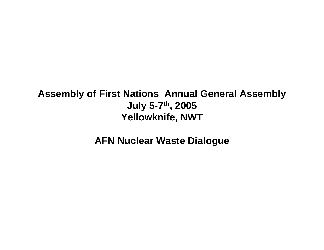#### **Assembly of First Nations Annual General Assembly July 5-7th, 2005 Yellowknife, NWT**

**AFN Nuclear Waste Dialogue**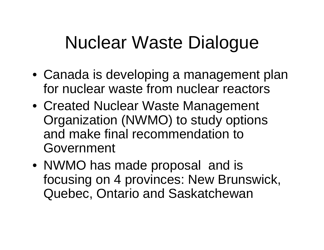# Nuclear Waste Dialogue

- Canada is developing a management plan for nuclear waste from nuclear reactors
- Created Nuclear Waste Management Organization (NWMO) to study options and make final recommendation to Government
- NWMO has made proposal and is focusing on 4 provinces: New Brunswick, Quebec, Ontario and Saskatchewan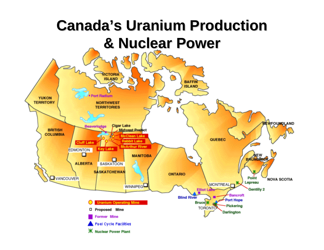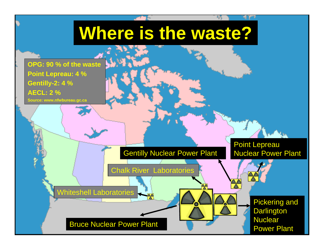### **Where is the waste?**

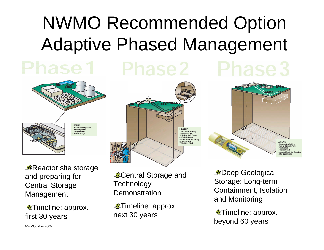# NWMO Recommended Option Adaptive Phased Management



**Reactor site storage** and preparing for Central Storage Management

*<u></u>*Timeline: approx. first 30 years



**Central Storage and Technology Demonstration** 

**Timeline: approx.** next 30 years

Deep Geological Storage: Long-term Containment, Isolation and Monitoring

LEGEND Repadcaging Building<br>Sealing Materials Plan Wasto Shaft Transport Cask Jacketed Used Fuel Contains

**Timeline: approx.** beyond 60 years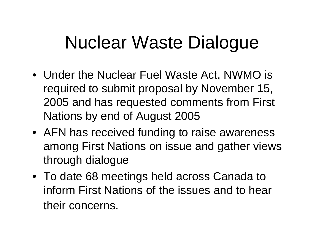# Nuclear Waste Dialogue

- Under the Nuclear Fuel Waste Act, NWMO is required to submit proposal by November 15, 2005 and has requested comments from First Nations by end of August 2005
- AFN has received funding to raise awareness among First Nations on issue and gather views through dialogue
- To date 68 meetings held across Canada to inform First Nations of the issues and to hear their concerns.